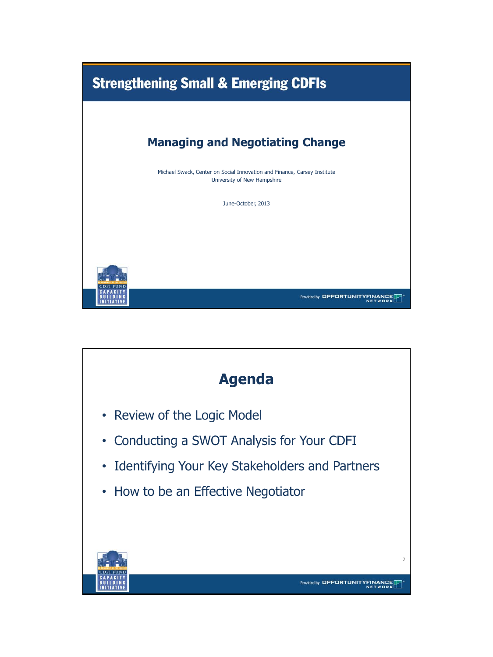

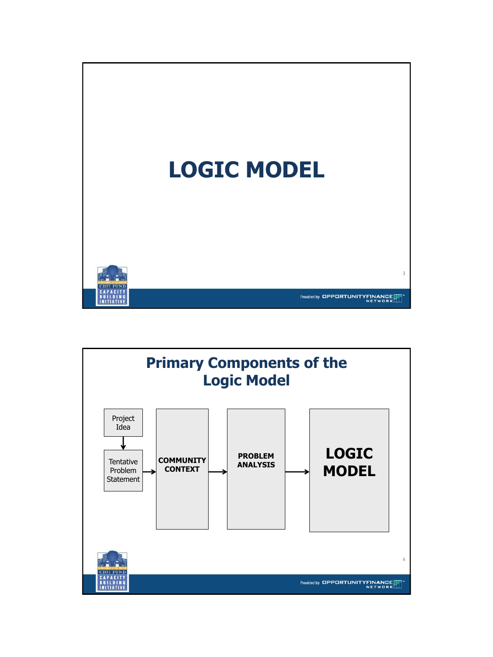

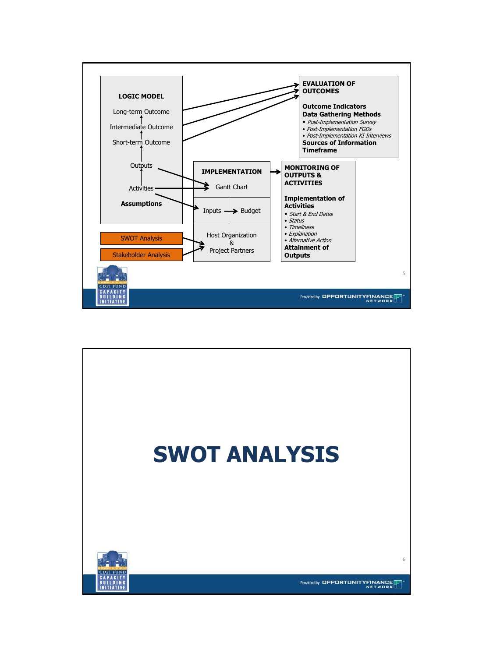

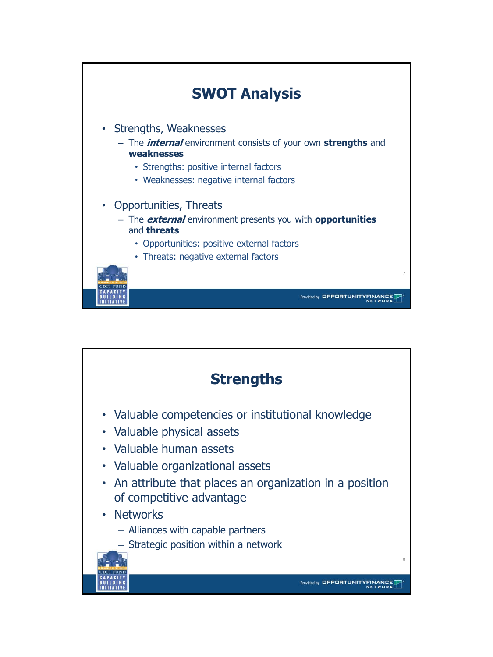

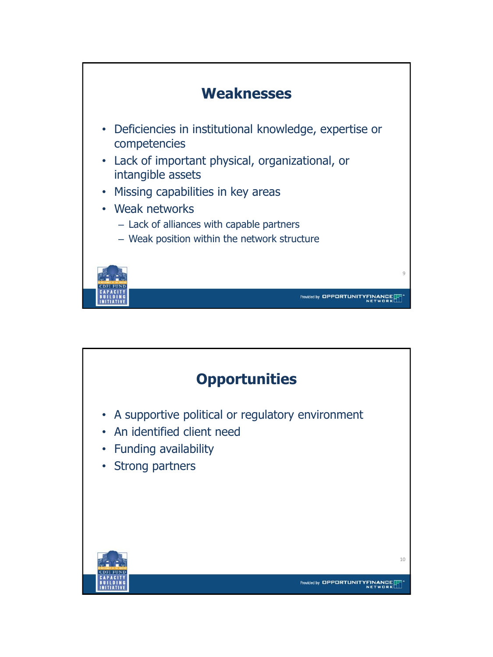

## **Opportunities**

- A supportive political or regulatory environment
- An identified client need
- Funding availability
- Strong partners



10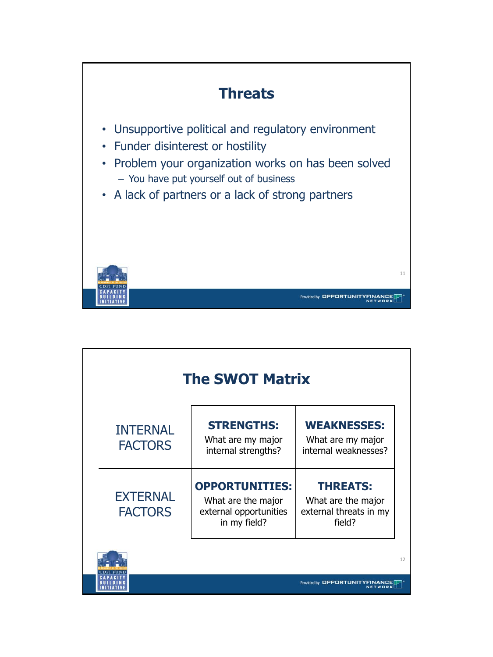

| <b>The SWOT Matrix</b>            |                                                                                       |                                                                           |  |  |
|-----------------------------------|---------------------------------------------------------------------------------------|---------------------------------------------------------------------------|--|--|
| <b>INTERNAL</b><br><b>FACTORS</b> | <b>STRENGTHS:</b><br>What are my major<br>internal strengths?                         | <b>WEAKNESSES:</b><br>What are my major<br>internal weaknesses?           |  |  |
| <b>EXTERNAL</b><br><b>FACTORS</b> | <b>OPPORTUNITIES:</b><br>What are the major<br>external opportunities<br>in my field? | <b>THREATS:</b><br>What are the major<br>external threats in my<br>field? |  |  |
|                                   |                                                                                       |                                                                           |  |  |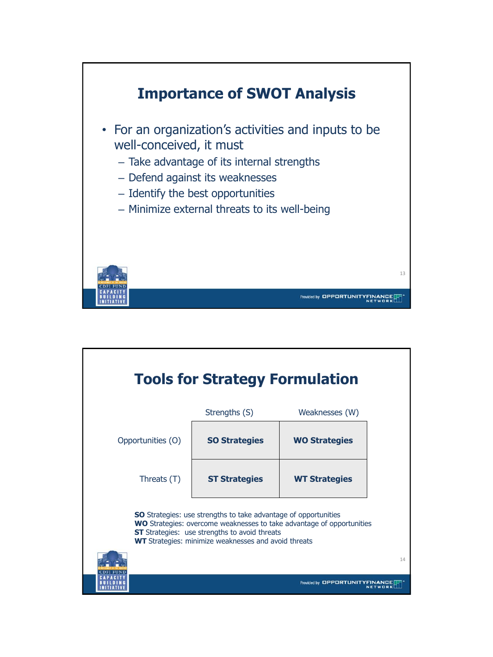

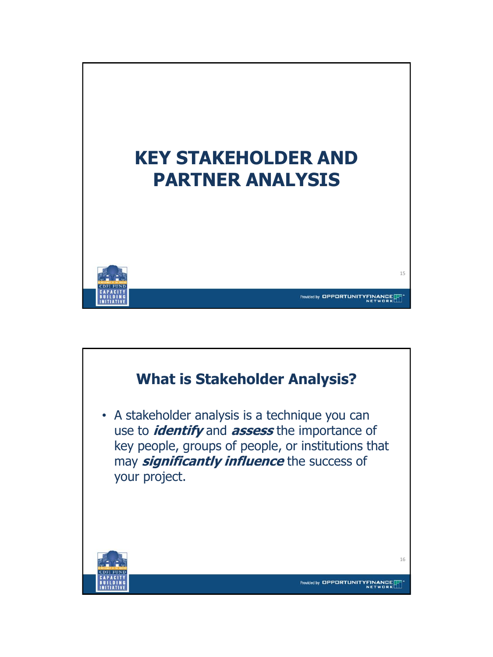

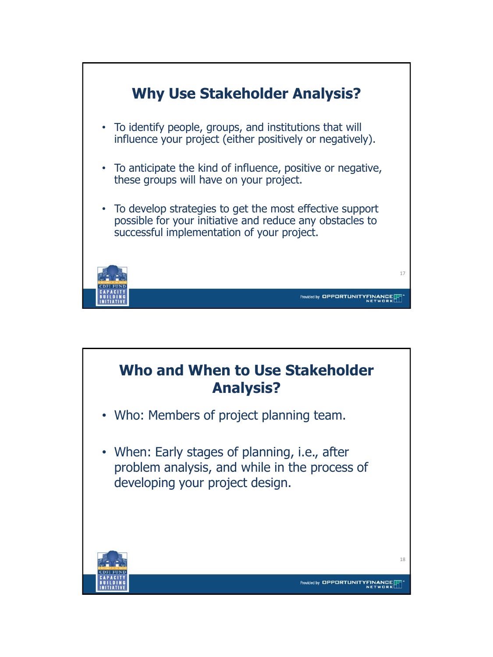

## **Who and When to Use Stakeholder Analysis?**

- Who: Members of project planning team.
- When: Early stages of planning, i.e., after problem analysis, and while in the process of developing your project design.



18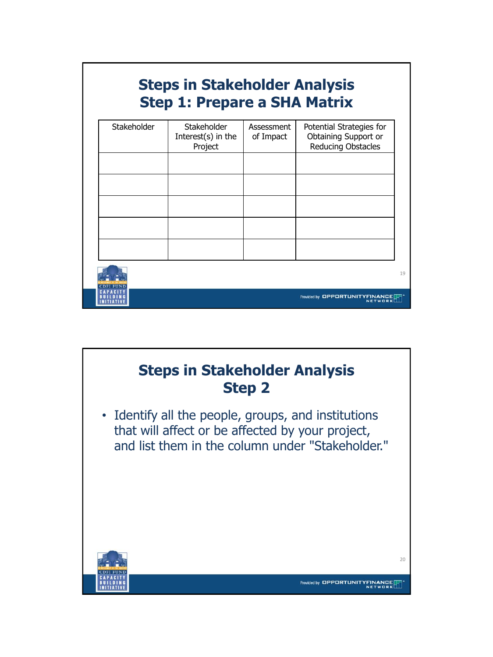| <b>Steps in Stakeholder Analysis</b><br><b>Step 1: Prepare a SHA Matrix</b> |                                                 |                         |                                                                        |  |  |  |
|-----------------------------------------------------------------------------|-------------------------------------------------|-------------------------|------------------------------------------------------------------------|--|--|--|
| Stakeholder                                                                 | Stakeholder<br>Interest $(s)$ in the<br>Project | Assessment<br>of Impact | Potential Strategies for<br>Obtaining Support or<br>Reducing Obstacles |  |  |  |
|                                                                             |                                                 |                         |                                                                        |  |  |  |
|                                                                             |                                                 |                         |                                                                        |  |  |  |
|                                                                             | 19                                              |                         |                                                                        |  |  |  |
|                                                                             | Provided by <b>OPPORTUNITYFIN</b>               |                         |                                                                        |  |  |  |

## **Steps in Stakeholder Analysis Step 2**

• Identify all the people, groups, and institutions that will affect or be affected by your project, and list them in the column under "Stakeholder."



Provided by OPPORTUNITYFINANCE

20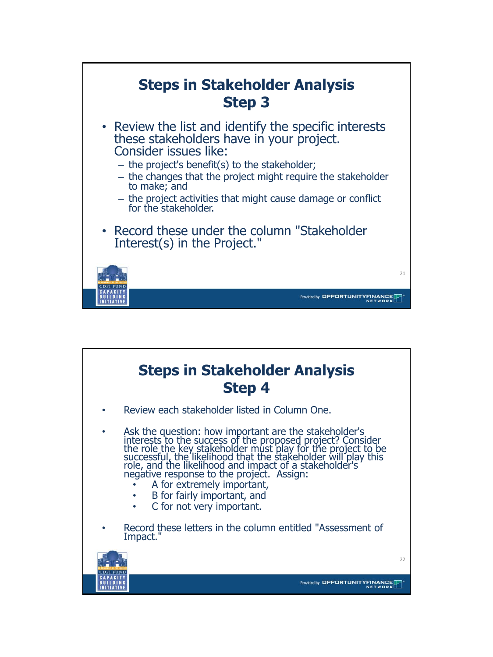

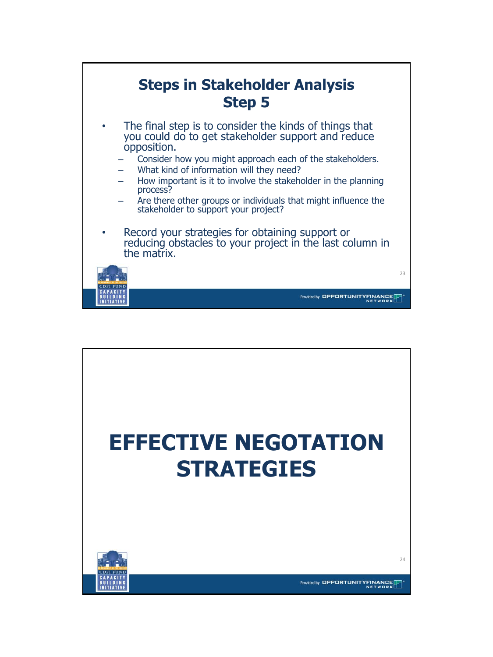

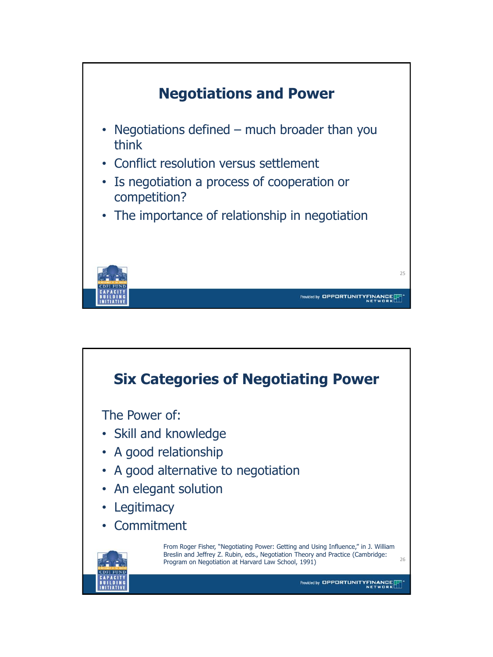